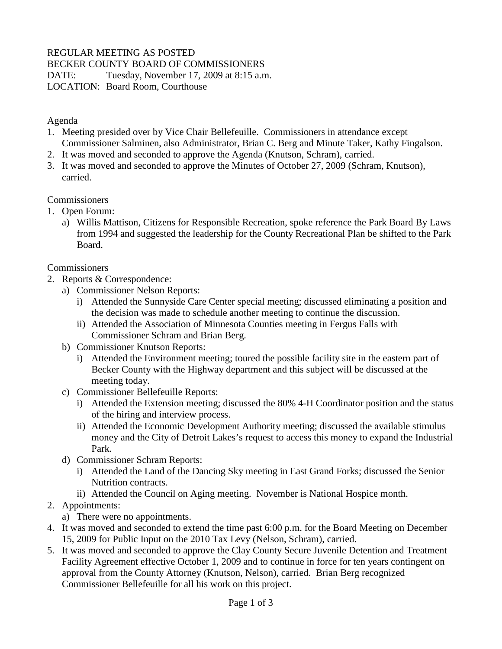## REGULAR MEETING AS POSTED

BECKER COUNTY BOARD OF COMMISSIONERS

DATE: Tuesday, November 17, 2009 at 8:15 a.m.

LOCATION: Board Room, Courthouse

Agenda

- 1. Meeting presided over by Vice Chair Bellefeuille. Commissioners in attendance except Commissioner Salminen, also Administrator, Brian C. Berg and Minute Taker, Kathy Fingalson.
- 2. It was moved and seconded to approve the Agenda (Knutson, Schram), carried.
- 3. It was moved and seconded to approve the Minutes of October 27, 2009 (Schram, Knutson), carried.

**Commissioners** 

- 1. Open Forum:
	- a) Willis Mattison, Citizens for Responsible Recreation, spoke reference the Park Board By Laws from 1994 and suggested the leadership for the County Recreational Plan be shifted to the Park Board.

**Commissioners** 

- 2. Reports & Correspondence:
	- a) Commissioner Nelson Reports:
		- i) Attended the Sunnyside Care Center special meeting; discussed eliminating a position and the decision was made to schedule another meeting to continue the discussion.
		- ii) Attended the Association of Minnesota Counties meeting in Fergus Falls with Commissioner Schram and Brian Berg.
	- b) Commissioner Knutson Reports:
		- i) Attended the Environment meeting; toured the possible facility site in the eastern part of Becker County with the Highway department and this subject will be discussed at the meeting today.
	- c) Commissioner Bellefeuille Reports:
		- i) Attended the Extension meeting; discussed the 80% 4-H Coordinator position and the status of the hiring and interview process.
		- ii) Attended the Economic Development Authority meeting; discussed the available stimulus money and the City of Detroit Lakes's request to access this money to expand the Industrial Park.
	- d) Commissioner Schram Reports:
		- i) Attended the Land of the Dancing Sky meeting in East Grand Forks; discussed the Senior Nutrition contracts.
		- ii) Attended the Council on Aging meeting. November is National Hospice month.
- 2. Appointments:
	- a) There were no appointments.
- 4. It was moved and seconded to extend the time past 6:00 p.m. for the Board Meeting on December 15, 2009 for Public Input on the 2010 Tax Levy (Nelson, Schram), carried.
- 5. It was moved and seconded to approve the Clay County Secure Juvenile Detention and Treatment Facility Agreement effective October 1, 2009 and to continue in force for ten years contingent on approval from the County Attorney (Knutson, Nelson), carried. Brian Berg recognized Commissioner Bellefeuille for all his work on this project.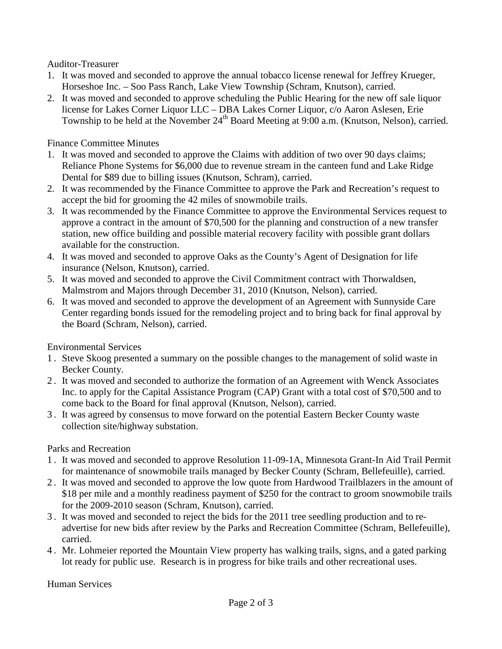Auditor-Treasurer

- 1. It was moved and seconded to approve the annual tobacco license renewal for Jeffrey Krueger, Horseshoe Inc. – Soo Pass Ranch, Lake View Township (Schram, Knutson), carried.
- 2. It was moved and seconded to approve scheduling the Public Hearing for the new off sale liquor license for Lakes Corner Liquor LLC – DBA Lakes Corner Liquor, c/o Aaron Aslesen, Erie Township to be held at the November  $24<sup>th</sup>$  Board Meeting at 9:00 a.m. (Knutson, Nelson), carried.

Finance Committee Minutes

- 1. It was moved and seconded to approve the Claims with addition of two over 90 days claims; Reliance Phone Systems for \$6,000 due to revenue stream in the canteen fund and Lake Ridge Dental for \$89 due to billing issues (Knutson, Schram), carried.
- 2. It was recommended by the Finance Committee to approve the Park and Recreation's request to accept the bid for grooming the 42 miles of snowmobile trails.
- 3. It was recommended by the Finance Committee to approve the Environmental Services request to approve a contract in the amount of \$70,500 for the planning and construction of a new transfer station, new office building and possible material recovery facility with possible grant dollars available for the construction.
- 4. It was moved and seconded to approve Oaks as the County's Agent of Designation for life insurance (Nelson, Knutson), carried.
- 5. It was moved and seconded to approve the Civil Commitment contract with Thorwaldsen, Malmstrom and Majors through December 31, 2010 (Knutson, Nelson), carried.
- 6. It was moved and seconded to approve the development of an Agreement with Sunnyside Care Center regarding bonds issued for the remodeling project and to bring back for final approval by the Board (Schram, Nelson), carried.

Environmental Services

- 1 . Steve Skoog presented a summary on the possible changes to the management of solid waste in Becker County.
- 2 . It was moved and seconded to authorize the formation of an Agreement with Wenck Associates Inc. to apply for the Capital Assistance Program (CAP) Grant with a total cost of \$70,500 and to come back to the Board for final approval (Knutson, Nelson), carried.
- 3 . It was agreed by consensus to move forward on the potential Eastern Becker County waste collection site/highway substation.

## Parks and Recreation

- 1 . It was moved and seconded to approve Resolution 11-09-1A, Minnesota Grant-In Aid Trail Permit for maintenance of snowmobile trails managed by Becker County (Schram, Bellefeuille), carried.
- 2 . It was moved and seconded to approve the low quote from Hardwood Trailblazers in the amount of \$18 per mile and a monthly readiness payment of \$250 for the contract to groom snowmobile trails for the 2009-2010 season (Schram, Knutson), carried.
- 3 . It was moved and seconded to reject the bids for the 2011 tree seedling production and to readvertise for new bids after review by the Parks and Recreation Committee (Schram, Bellefeuille), carried.
- 4 . Mr. Lohmeier reported the Mountain View property has walking trails, signs, and a gated parking lot ready for public use. Research is in progress for bike trails and other recreational uses.

Human Services